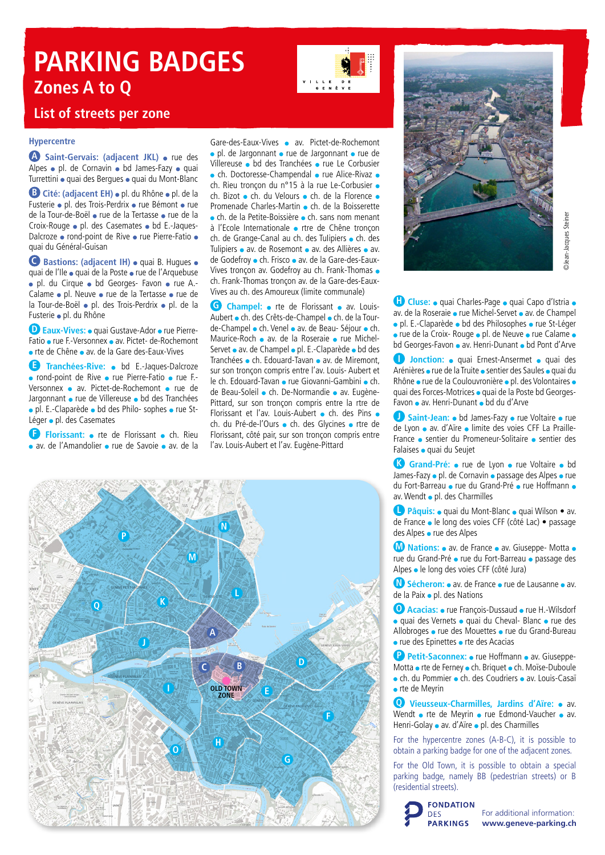# **PARKING BADGES Zones A to Q**



### **List of streets per zone**

#### **Hypercentre**

**A** Saint-Gervais: (adjacent JKL) • rue des Alpes • pl. de Cornavin • bd James-Fazy • quai Turrettini · quai des Bergues · quai du Mont-Blanc

**B** Cité: (adjacent EH) · pl. du Rhône · pl. de la Fusterie • pl. des Trois-Perdrix • rue Bémont • rue de la Tour-de-Boël • rue de la Tertasse • rue de la Croix-Rouge · pl. des Casemates · bd E.-Jaques-Dalcroze · rond-point de Rive · rue Pierre-Fatio · quai du Général-Guisan

**C** Bastions: (adjacent IH) · quai B. Hugues · quai de l'Ile • quai de la Poste • rue de l'Arquebuse · pl. du Cirque · bd Georges- Favon · rue A.-Calame • pl. Neuve • rue de la Tertasse • rue de la Tour-de-Boël • pl. des Trois-Perdrix • pl. de la Fusterie · pl. du Rhône

**D Eaux-Vives:** • quai Gustave-Ador • rue Pierre-Fatio • rue F.-Versonnex • av. Pictet- de-Rochemont rte de Chêne av. de la Gare des-Eaux-Vives

**E Tranchées-Rive:** bd E.-Jaques-Dalcroze · rond-point de Rive · rue Pierre-Fatio · rue F.-Versonnex av. Pictet-de-Rochemont rue de Jargonnant • rue de Villereuse • bd des Tranchées · pl. E.-Claparède · bd des Philo- sophes · rue St-Léger · pl. des Casemates

**Florissant:** • rte de Florissant • ch. Rieu av. de l'Amandolier • rue de Savoie • av. de la

Gare-des-Eaux-Vives av. Pictet-de-Rochemont · pl. de Jargonnant · rue de Jargonnant · rue de Villereuse · bd des Tranchées · rue Le Corbusier  $\bullet$  ch. Doctoresse-Champendal  $\bullet$  rue Alice-Rivaz  $\bullet$ ch. Rieu troncon du n°15 à la rue Le-Corbusier • ch. Bizot ch. du Velours ch. de la Florence Promenade Charles-Martin c ch. de la Boisserette ch. de la Petite-Boissière ch. sans nom menant à l'Ecole Internationale · rtre de Chêne tronçon ch. de Grange-Canal au ch. des Tulipiers • ch. des Tulipiers • av. de Rosemont • av. des Allières • av. de Godefroy · ch. Frisco · av. de la Gare-des-Eaux-Vives tronçon av. Godefroy au ch. Frank-Thomas ch. Frank-Thomas tronçon av. de la Gare-des-Eaux-Vives au ch. des Amoureux (limite communale)

**G Champel:** • rte de Florissant • av. Louis-Aubert ch. des Crêts-de-Champel ch. de la Tourde-Champel • ch. Venel • av. de Beau- Séjour • ch. Maurice-Roch • av. de la Roseraie • rue Michel-Servet av. de Champel pl. E.-Claparède bd des Tranchées • ch. Edouard-Tavan • av. de Miremont, sur son tronçon compris entre l'av. Louis- Aubert et le ch. Edouard-Tavan · rue Giovanni-Gambini · ch. de Beau-Soleil · ch. De-Normandie · av. Eugène-Pittard, sur son tronçon compris entre la rtre de Florissant et l'av. Louis-Aubert · ch. des Pins · ch. du Pré-de-l'Ours · ch. des Glycines · rtre de Florissant, côté pair, sur son tronçon compris entre l'av. Louis-Aubert et l'av. Eugène-Pittard





**Hangel Cluse:** • quai Charles-Page • quai Capo d'Istria • av. de la Roseraie • rue Michel-Servet • av. de Champel · pl. E.-Claparède · bd des Philosophes · rue St-Léger • rue de la Croix- Rouge • pl. de Neuve • rue Calame • bd Georges-Favon • av. Henri-Dunant • bd Pont d'Arve

**I Jonction: e** quai Ernest-Ansermet **e** quai des Arénières • rue de la Truite • sentier des Saules • quai du Rhône • rue de la Coulouvronière • pl. des Volontaires • quai des Forces-Motrices · quai de la Poste bd Georges-Favon • av. Henri-Dunant • bd du d'Arve

**J Saint-Jean:** • bd James-Fazy • rue Voltaire • rue de Lyon • av. d'Aïre • limite des voies CFF La Praille-France · sentier du Promeneur-Solitaire · sentier des Falaises · quai du Seujet

**K Grand-Pré:** • rue de Lyon • rue Voltaire • bd James-Fazy · pl. de Cornavin · passage des Alpes · rue du Fort-Barreau • rue du Grand-Pré • rue Hoffmann • av. Wendt · pl. des Charmilles

**La Pâquis:** • quai du Mont-Blanc • quai Wilson • av. de France · le long des voies CFF (côté Lac) · passage des Alpes • rue des Alpes

**M Nations:** • av. de France • av. Giuseppe- Motta • rue du Grand-Pré · rue du Fort-Barreau · passage des Alpes · le long des voies CFF (côté Jura)

**N Sécheron:** • av. de France • rue de Lausanne • av. de la Paix • pl. des Nations

**O Acacias:** • rue François-Dussaud • rue H.-Wilsdorf ● quai des Vernets • quai du Cheval- Blanc • rue des Allobroges • rue des Mouettes • rue du Grand-Bureau • rue des Epinettes • rte des Acacias

**P** Petit-Saconnex: • rue Hoffmann • av. Giuseppe-Motta • rte de Ferney • ch. Briquet • ch. Moïse-Duboule ch. du Pommier ch. des Coudriers av. Louis-Casaï rte de Meyrin

**Q Vieusseux-Charmilles, Jardins d'Aïre:** av. Wendt • rte de Meyrin • rue Edmond-Vaucher • av. Henri-Golay • av. d'Aïre • pl. des Charmilles

For the hypercentre zones (A-B-C), it is possible to obtain a parking badge for one of the adjacent zones.

For the Old Town, it is possible to obtain a special parking badge, namely BB (pedestrian streets) or B (residential streets).



For additional information: www.geneve-parking.ch